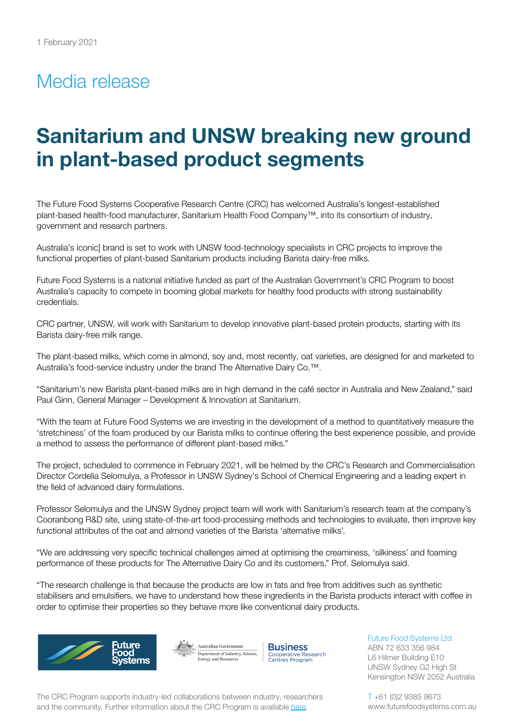## Media release

# **Sanitarium and UNSW breaking new ground in plant-based product segments**

The Future Food Systems Cooperative Research Centre (CRC) has welcomed Australia's longest-established plant-based health-food manufacturer, Sanitarium Health Food Company™, into its consortium of industry, government and research partners.

Australia's iconic] brand is set to work with UNSW food-technology specialists in CRC projects to improve the functional properties of plant-based Sanitarium products including Barista dairy-free milks*.*

Future Food Systems is a national initiative funded as part of the Australian Government's CRC Program to boost Australia's capacity to compete in booming global markets for healthy food products with strong sustainability credentials.

CRC partner, UNSW, will work with Sanitarium to develop innovative plant-based protein products, starting with its Barista dairy-free milk range.

The plant-based milks, which come in almond, soy and, most recently, oat varieties, are designed for and marketed to Australia's food-service industry under the brand The Alternative Dairy Co.™.

"Sanitarium's new Barista plant-based milks are in high demand in the café sector in Australia and New Zealand," said Paul Ginn, General Manager – Development & Innovation at Sanitarium.

"With the team at Future Food Systems we are investing in the development of a method to quantitatively measure the 'stretchiness' of the foam produced by our Barista milks to continue offering the best experience possible, and provide a method to assess the performance of different plant-based milks."

The project, scheduled to commence in February 2021, will be helmed by the CRC's Research and Commercialisation Director Cordelia Selomulya, a Professor in UNSW Sydney's School of Chemical Engineering and a leading expert in the field of advanced dairy formulations.

Professor Selomulya and the UNSW Sydney project team will work with Sanitarium's research team at the company's Cooranbong R&D site, using state-of-the-art food-processing methods and technologies to evaluate, then improve key functional attributes of the oat and almond varieties of the Barista 'alternative milks'.

"We are addressing very specific technical challenges aimed at optimising the creaminess, 'silkiness' and foaming performance of these products for The Alternative Dairy Co and its customers," Prof. Selomulya said.

"The research challenge is that because the products are low in fats and free from additives such as synthetic stabilisers and emulsifiers, we have to understand how these ingredients in the Barista products interact with coffee in order to optimise their properties so they behave more like conventional dairy products.



Australian Government Department of Industry, Science,<br>Energy and Resources **Business** Cooperative Research<br>Centres Program

The CRC Program supports industry-led collaborations between industry, researchers and the community. Further information about the CRC Program is available [here](https://www.business.gov.au/SearchResult?query=cooperativeresearchcentresprogramme&type=1).

Future Food Systems Ltd ABN 72 633 356 984 L6 Hilmer Building E10 UNSW Sydney G2 High St Kensington NSW 2052 Australia

T +61 (0)2 9385 9673 www.futurefoodsystems.com.au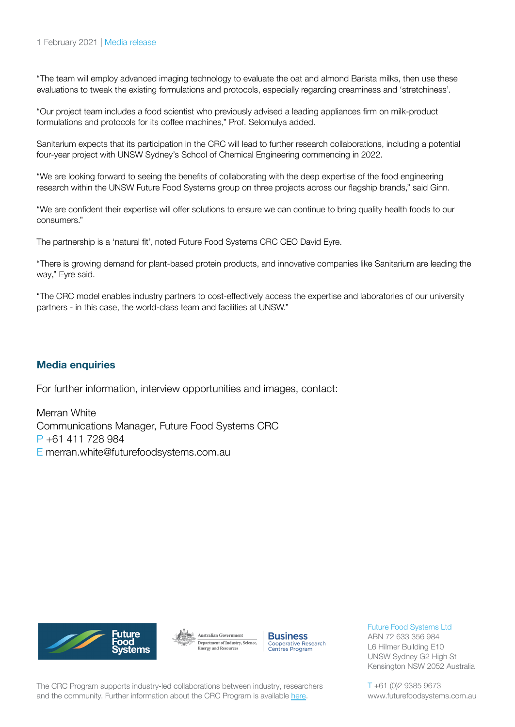#### 1 February 2021 | Media release

"The team will employ advanced imaging technology to evaluate the oat and almond Barista milks, then use these evaluations to tweak the existing formulations and protocols, especially regarding creaminess and 'stretchiness'.

"Our project team includes a food scientist who previously advised a leading appliances firm on milk-product formulations and protocols for its coffee machines," Prof. Selomulya added.

Sanitarium expects that its participation in the CRC will lead to further research collaborations, including a potential four-year project with UNSW Sydney's School of Chemical Engineering commencing in 2022.

"We are looking forward to seeing the benefits of collaborating with the deep expertise of the food engineering research within the UNSW Future Food Systems group on three projects across our flagship brands," said Ginn.

"We are confident their expertise will offer solutions to ensure we can continue to bring quality health foods to our consumers."

The partnership is a 'natural fit', noted Future Food Systems CRC CEO David Eyre.

"There is growing demand for plant-based protein products, and innovative companies like Sanitarium are leading the way," Eyre said.

"The CRC model enables industry partners to cost-effectively access the expertise and laboratories of our university partners - in this case, the world-class team and facilities at UNSW."

#### **Media enquiries**

For further information, interview opportunities and images, contact:

Merran White Communications Manager, Future Food Systems CRC P +61 411 728 984 E merran.white@futurefoodsystems.com.au







Future Food Systems Ltd

ABN 72 633 356 984 L6 Hilmer Building E10 UNSW Sydney G2 High St Kensington NSW 2052 Australia

The CRC Program supports industry-led collaborations between industry, researchers and the community. Further information about the CRC Program is available [here](https://www.business.gov.au/SearchResult?query=cooperativeresearchcentresprogramme&type=1).

T +61 (0)2 9385 9673 www.futurefoodsystems.com.au